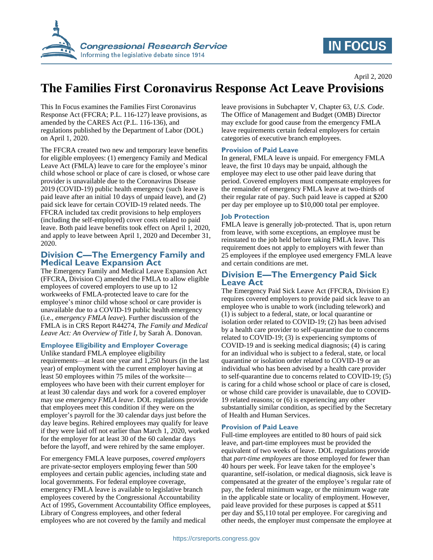

# **IN FOCUS**

April 2, 2020

# **The Families First Coronavirus Response Act Leave Provisions**

This In Focus examines the Families First Coronavirus Response Act (FFCRA; P.L. 116-127) leave provisions, as amended by the CARES Act (P.L. 116-136), and regulations published by the Department of Labor (DOL) on April 1, 2020.

The FFCRA created two new and temporary leave benefits for eligible employees: (1) emergency Family and Medical Leave Act (FMLA) leave to care for the employee's minor child whose school or place of care is closed, or whose care provider is unavailable due to the Coronavirus Disease 2019 (COVID-19) public health emergency (such leave is paid leave after an initial 10 days of unpaid leave), and (2) paid sick leave for certain COVID-19 related needs. The FFCRA included tax credit provisions to help employers (including the self-employed) cover costs related to paid leave. Both paid leave benefits took effect on April 1, 2020, and apply to leave between April 1, 2020 and December 31, 2020.

## **Division C—The Emergency Family and Medical Leave Expansion Act**

The Emergency Family and Medical Leave Expansion Act (FFCRA, Division C) amended the FMLA to allow eligible employees of covered employers to use up to 12 workweeks of FMLA-protected leave to care for the employee's minor child whose school or care provider is unavailable due to a COVID-19 public health emergency (i.e., *emergency FMLA leave*). Further discussion of the FMLA is in CRS Report R44274, *The Family and Medical Leave Act: An Overview of Title I*, by Sarah A. Donovan.

#### **Employee Eligibility and Employer Coverage**

Unlike standard FMLA employee eligibility requirements—at least one year and 1,250 hours (in the last year) of employment with the current employer having at least 50 employees within 75 miles of the worksite employees who have been with their current employer for at least 30 calendar days and work for a covered employer may use *emergency FMLA leave*. DOL regulations provide that employees meet this condition if they were on the employer's payroll for the 30 calendar days just before the day leave begins. Rehired employees may qualify for leave if they were laid off not earlier than March 1, 2020, worked for the employer for at least 30 of the 60 calendar days before the layoff, and were rehired by the same employer.

For emergency FMLA leave purposes, *covered employers* are private-sector employers employing fewer than 500 employees and certain public agencies, including state and local governments. For federal employee coverage, emergency FMLA leave is available to legislative branch employees covered by the Congressional Accountability Act of 1995, Government Accountability Office employees, Library of Congress employees, and other federal employees who are not covered by the family and medical

leave provisions in Subchapter V, Chapter 63, *U.S. Code*. The Office of Management and Budget (OMB) Director may exclude for good cause from the emergency FMLA leave requirements certain federal employers for certain categories of executive branch employees.

#### **Provision of Paid Leave**

In general, FMLA leave is unpaid. For emergency FMLA leave, the first 10 days may be unpaid, although the employee may elect to use other paid leave during that period. Covered employers must compensate employees for the remainder of emergency FMLA leave at two-thirds of their regular rate of pay. Such paid leave is capped at \$200 per day per employee up to \$10,000 total per employee.

#### **Job Protection**

FMLA leave is generally job-protected. That is, upon return from leave, with some exceptions, an employee must be reinstated to the job held before taking FMLA leave. This requirement does not apply to employers with fewer than 25 employees if the employee used emergency FMLA leave and certain conditions are met.

### **Division E—The Emergency Paid Sick Leave Act**

The Emergency Paid Sick Leave Act (FFCRA, Division E) requires covered employers to provide paid sick leave to an employee who is unable to work (including telework) and (1) is subject to a federal, state, or local quarantine or isolation order related to COVID-19; (2) has been advised by a health care provider to self-quarantine due to concerns related to COVID-19; (3) is experiencing symptoms of COVID-19 and is seeking medical diagnosis; (4) is caring for an individual who is subject to a federal, state, or local quarantine or isolation order related to COVID-19 or an individual who has been advised by a health care provider to self-quarantine due to concerns related to COVID-19; (5) is caring for a child whose school or place of care is closed, or whose child care provider is unavailable, due to COVID-19 related reasons; or (6) is experiencing any other substantially similar condition, as specified by the Secretary of Health and Human Services.

#### **Provision of Paid Leave**

Full-time employees are entitled to 80 hours of paid sick leave, and part-time employees must be provided the equivalent of two weeks of leave. DOL regulations provide that *part-time employees* are those employed for fewer than 40 hours per week. For leave taken for the employee's quarantine, self-isolation, or medical diagnosis, sick leave is compensated at the greater of the employee's regular rate of pay, the federal minimum wage, or the minimum wage rate in the applicable state or locality of employment. However, paid leave provided for these purposes is capped at \$511 per day and \$5,110 total per employee. For caregiving and other needs, the employer must compensate the employee at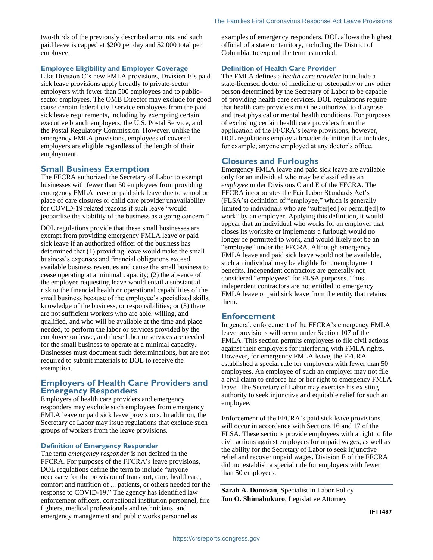two-thirds of the previously described amounts, and such paid leave is capped at \$200 per day and \$2,000 total per employee.

#### **Employee Eligibility and Employer Coverage**

Like Division C's new FMLA provisions, Division E's paid sick leave provisions apply broadly to private-sector employers with fewer than 500 employees and to publicsector employees. The OMB Director may exclude for good cause certain federal civil service employees from the paid sick leave requirements, including by exempting certain executive branch employers, the U.S. Postal Service, and the Postal Regulatory Commission. However, unlike the emergency FMLA provisions, employees of covered employers are eligible regardless of the length of their employment.

### **Small Business Exemption**

The FFCRA authorized the Secretary of Labor to exempt businesses with fewer than 50 employees from providing emergency FMLA leave or paid sick leave due to school or place of care closures or child care provider unavailability for COVID-19 related reasons if such leave "would jeopardize the viability of the business as a going concern."

DOL regulations provide that these small businesses are exempt from providing emergency FMLA leave or paid sick leave if an authorized officer of the business has determined that (1) providing leave would make the small business's expenses and financial obligations exceed available business revenues and cause the small business to cease operating at a minimal capacity; (2) the absence of the employee requesting leave would entail a substantial risk to the financial health or operational capabilities of the small business because of the employee's specialized skills, knowledge of the business, or responsibilities; or (3) there are not sufficient workers who are able, willing, and qualified, and who will be available at the time and place needed, to perform the labor or services provided by the employee on leave, and these labor or services are needed for the small business to operate at a minimal capacity. Businesses must document such determinations, but are not required to submit materials to DOL to receive the exemption.

#### **Employers of Health Care Providers and Emergency Responders**

Employers of health care providers and emergency responders may exclude such employees from emergency FMLA leave or paid sick leave provisions. In addition, the Secretary of Labor may issue regulations that exclude such groups of workers from the leave provisions.

#### **Definition of Emergency Responder**

The term *emergency responder* is not defined in the FFCRA. For purposes of the FFCRA's leave provisions, DOL regulations define the term to include "anyone necessary for the provision of transport, care, healthcare, comfort and nutrition of ... patients, or others needed for the response to COVID-19." The agency has identified law enforcement officers, correctional institution personnel, fire fighters, medical professionals and technicians, and emergency management and public works personnel as

examples of emergency responders. DOL allows the highest official of a state or territory, including the District of Columbia, to expand the term as needed.

#### **Definition of Health Care Provider**

The FMLA defines a *health care provider* to include a state-licensed doctor of medicine or osteopathy or any other person determined by the Secretary of Labor to be capable of providing health care services. DOL regulations require that health care providers must be authorized to diagnose and treat physical or mental health conditions. For purposes of excluding certain health care providers from the application of the FFCRA's leave provisions, however, DOL regulations employ a broader definition that includes, for example, anyone employed at any doctor's office.

#### **Closures and Furloughs**

Emergency FMLA leave and paid sick leave are available only for an individual who may be classified as an *employee* under Divisions C and E of the FFCRA. The FFCRA incorporates the Fair Labor Standards Act's (FLSA's) definition of "employee," which is generally limited to individuals who are "suffer[ed] or permit[ed] to work" by an employer. Applying this definition, it would appear that an individual who works for an employer that closes its worksite or implements a furlough would no longer be permitted to work, and would likely not be an "employee" under the FFCRA. Although emergency FMLA leave and paid sick leave would not be available, such an individual may be eligible for unemployment benefits. Independent contractors are generally not considered "employees" for FLSA purposes. Thus, independent contractors are not entitled to emergency FMLA leave or paid sick leave from the entity that retains them.

#### **Enforcement**

In general, enforcement of the FFCRA's emergency FMLA leave provisions will occur under Section 107 of the FMLA. This section permits employees to file civil actions against their employers for interfering with FMLA rights. However, for emergency FMLA leave, the FFCRA established a special rule for employers with fewer than 50 employees. An employee of such an employer may not file a civil claim to enforce his or her right to emergency FMLA leave. The Secretary of Labor may exercise his existing authority to seek injunctive and equitable relief for such an employee.

Enforcement of the FFCRA's paid sick leave provisions will occur in accordance with Sections 16 and 17 of the FLSA. These sections provide employees with a right to file civil actions against employers for unpaid wages, as well as the ability for the Secretary of Labor to seek injunctive relief and recover unpaid wages. Division E of the FFCRA did not establish a special rule for employers with fewer than 50 employees.

**Sarah A. Donovan**, Specialist in Labor Policy **Jon O. Shimabukuro**, Legislative Attorney